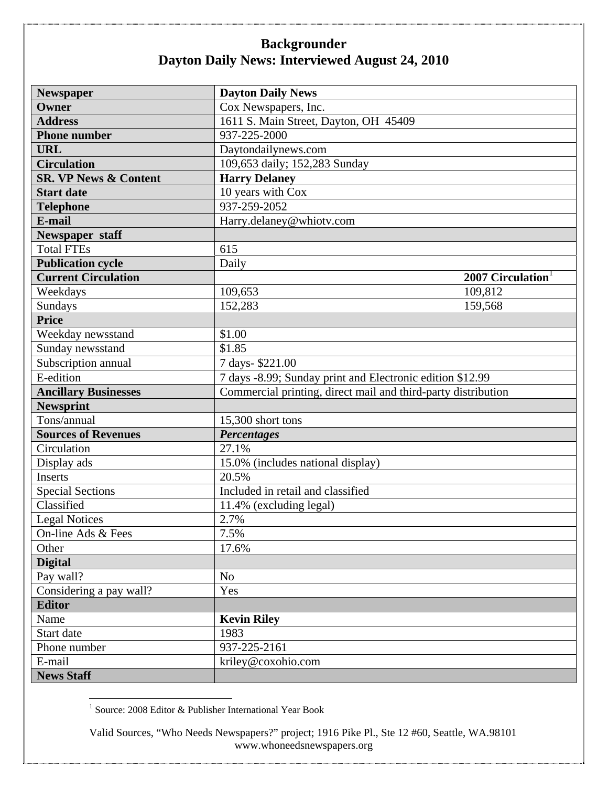| <b>Newspaper</b>                 | <b>Dayton Daily News</b>                                      |
|----------------------------------|---------------------------------------------------------------|
| Owner                            | Cox Newspapers, Inc.                                          |
| <b>Address</b>                   | 1611 S. Main Street, Dayton, OH 45409                         |
| <b>Phone number</b>              | 937-225-2000                                                  |
| <b>URL</b>                       | Daytondailynews.com                                           |
| <b>Circulation</b>               | 109,653 daily; 152,283 Sunday                                 |
| <b>SR. VP News &amp; Content</b> | <b>Harry Delaney</b>                                          |
| <b>Start date</b>                | 10 years with Cox                                             |
| <b>Telephone</b>                 | 937-259-2052                                                  |
| E-mail                           | Harry.delaney@whiotv.com                                      |
| Newspaper staff                  |                                                               |
| <b>Total FTEs</b>                | 615                                                           |
| <b>Publication cycle</b>         | Daily                                                         |
| <b>Current Circulation</b>       | 2007 Circulation                                              |
| Weekdays                         | 109,653<br>109,812                                            |
| Sundays                          | 152,283<br>159,568                                            |
| <b>Price</b>                     |                                                               |
| Weekday newsstand                | \$1.00                                                        |
| Sunday newsstand                 | \$1.85                                                        |
| Subscription annual              | 7 days-\$221.00                                               |
| E-edition                        | 7 days -8.99; Sunday print and Electronic edition \$12.99     |
| <b>Ancillary Businesses</b>      | Commercial printing, direct mail and third-party distribution |
| <b>Newsprint</b>                 |                                                               |
| Tons/annual                      | 15,300 short tons                                             |
| <b>Sources of Revenues</b>       | <b>Percentages</b>                                            |
| Circulation                      | 27.1%                                                         |
| Display ads                      | 15.0% (includes national display)                             |
| Inserts                          | 20.5%                                                         |
| <b>Special Sections</b>          | Included in retail and classified                             |
| Classified                       | 11.4% (excluding legal)                                       |
| <b>Legal Notices</b>             | 2.7%                                                          |
| On-line Ads & Fees               | 7.5%                                                          |
| Other                            | 17.6%                                                         |
| <b>Digital</b>                   |                                                               |
| Pay wall?                        | N <sub>o</sub>                                                |
| Considering a pay wall?          | Yes                                                           |
| <b>Editor</b>                    |                                                               |
| Name                             | <b>Kevin Riley</b>                                            |
| Start date                       | 1983                                                          |
| Phone number                     | 937-225-2161                                                  |
| E-mail                           | kriley@coxohio.com                                            |
| <b>News Staff</b>                |                                                               |

1 Source: 2008 Editor & Publisher International Year Book

Valid Sources, "Who Needs Newspapers?" project; 1916 Pike Pl., Ste 12 #60, Seattle, WA.98101 www.whoneedsnewspapers.org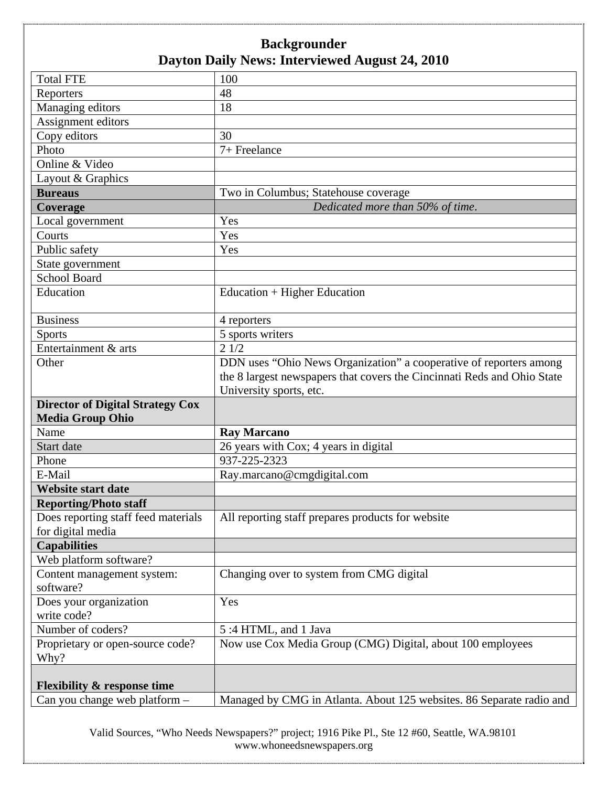| <b>Total FTE</b>                                                        | 100                                                                     |
|-------------------------------------------------------------------------|-------------------------------------------------------------------------|
| Reporters                                                               | 48                                                                      |
| Managing editors                                                        | 18                                                                      |
| Assignment editors                                                      |                                                                         |
| Copy editors                                                            | 30                                                                      |
| Photo                                                                   | 7+ Freelance                                                            |
| Online & Video                                                          |                                                                         |
| Layout & Graphics                                                       |                                                                         |
| <b>Bureaus</b>                                                          | Two in Columbus; Statehouse coverage                                    |
| Coverage                                                                | Dedicated more than 50% of time.                                        |
| Local government                                                        | Yes                                                                     |
| Courts                                                                  | Yes                                                                     |
| Public safety                                                           | Yes                                                                     |
| State government                                                        |                                                                         |
| <b>School Board</b>                                                     |                                                                         |
| Education                                                               | Education $+$ Higher Education                                          |
|                                                                         |                                                                         |
| <b>Business</b>                                                         | 4 reporters                                                             |
| <b>Sports</b>                                                           | 5 sports writers                                                        |
| Entertainment & arts                                                    | 21/2                                                                    |
| Other                                                                   | DDN uses "Ohio News Organization" a cooperative of reporters among      |
|                                                                         | the 8 largest newspapers that covers the Cincinnati Reds and Ohio State |
|                                                                         | University sports, etc.                                                 |
|                                                                         |                                                                         |
| <b>Director of Digital Strategy Cox</b>                                 |                                                                         |
| <b>Media Group Ohio</b>                                                 |                                                                         |
| Name                                                                    | <b>Ray Marcano</b>                                                      |
| Start date                                                              | 26 years with Cox; 4 years in digital                                   |
| Phone                                                                   | 937-225-2323                                                            |
| E-Mail                                                                  | Ray.marcano@cmgdigital.com                                              |
| <b>Website start date</b>                                               |                                                                         |
| <b>Reporting/Photo staff</b>                                            |                                                                         |
| Does reporting staff feed materials                                     | All reporting staff prepares products for website                       |
| for digital media                                                       |                                                                         |
| <b>Capabilities</b>                                                     |                                                                         |
| Web platform software?                                                  |                                                                         |
| Content management system:                                              | Changing over to system from CMG digital                                |
| software?                                                               |                                                                         |
| Does your organization                                                  | Yes                                                                     |
| write code?                                                             |                                                                         |
| Number of coders?                                                       | 5:4 HTML, and 1 Java                                                    |
| Proprietary or open-source code?<br>Why?                                | Now use Cox Media Group (CMG) Digital, about 100 employees              |
|                                                                         |                                                                         |
| <b>Flexibility &amp; response time</b><br>Can you change web platform - | Managed by CMG in Atlanta. About 125 websites. 86 Separate radio and    |

Valid Sources, "Who Needs Newspapers?" project; 1916 Pike Pl., Ste 12 #60, Seattle, WA.98101 www.whoneedsnewspapers.org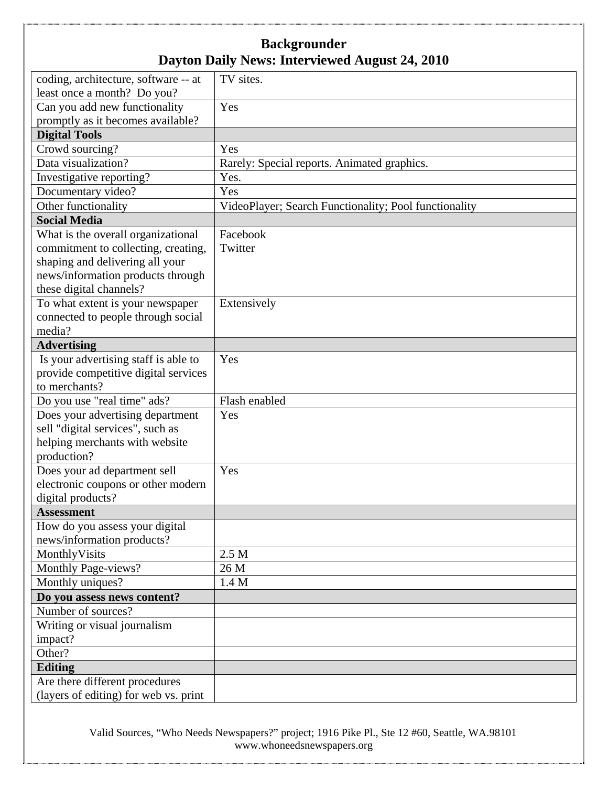| coding, architecture, software -- at  | TV sites.                                             |
|---------------------------------------|-------------------------------------------------------|
| least once a month? Do you?           |                                                       |
| Can you add new functionality         | Yes                                                   |
| promptly as it becomes available?     |                                                       |
| <b>Digital Tools</b>                  |                                                       |
| Crowd sourcing?                       | Yes                                                   |
| Data visualization?                   | Rarely: Special reports. Animated graphics.           |
| Investigative reporting?              | Yes.                                                  |
| Documentary video?                    | Yes                                                   |
| Other functionality                   | VideoPlayer; Search Functionality; Pool functionality |
| <b>Social Media</b>                   |                                                       |
| What is the overall organizational    | Facebook                                              |
| commitment to collecting, creating,   | Twitter                                               |
| shaping and delivering all your       |                                                       |
| news/information products through     |                                                       |
| these digital channels?               |                                                       |
| To what extent is your newspaper      | Extensively                                           |
| connected to people through social    |                                                       |
| media?                                |                                                       |
| <b>Advertising</b>                    |                                                       |
| Is your advertising staff is able to  | Yes                                                   |
| provide competitive digital services  |                                                       |
| to merchants?                         |                                                       |
| Do you use "real time" ads?           | Flash enabled                                         |
| Does your advertising department      | Yes                                                   |
| sell "digital services", such as      |                                                       |
| helping merchants with website        |                                                       |
| production?                           |                                                       |
| Does your ad department sell          | Yes                                                   |
| electronic coupons or other modern    |                                                       |
| digital products?                     |                                                       |
| <b>Assessment</b>                     |                                                       |
| How do you assess your digital        |                                                       |
| news/information products?            |                                                       |
| MonthlyVisits                         | 2.5 M                                                 |
| Monthly Page-views?                   | 26 M                                                  |
| Monthly uniques?                      | 1.4 M                                                 |
| Do you assess news content?           |                                                       |
| Number of sources?                    |                                                       |
| Writing or visual journalism          |                                                       |
| impact?                               |                                                       |
| Other?                                |                                                       |
| Editing                               |                                                       |
| Are there different procedures        |                                                       |
| (layers of editing) for web vs. print |                                                       |

Valid Sources, "Who Needs Newspapers?" project; 1916 Pike Pl., Ste 12 #60, Seattle, WA.98101 www.whoneedsnewspapers.org